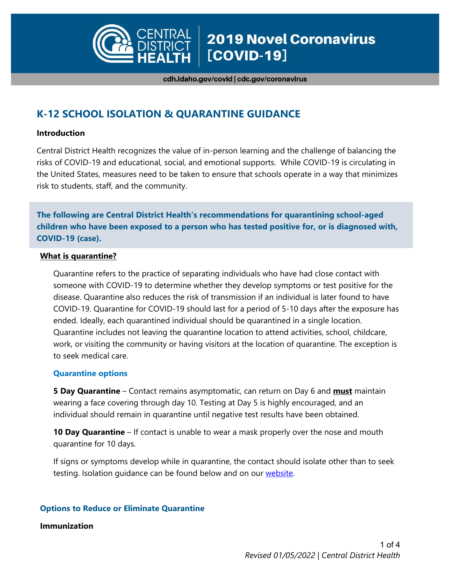

cdh.idaho.gov/covid | cdc.gov/coronavirus

# **K-12 SCHOOL ISOLATION & QUARANTINE GUIDANCE**

#### **Introduction**

Central District Health recognizes the value of in-person learning and the challenge of balancing the risks of COVID-19 and educational, social, and emotional supports. While COVID-19 is circulating in the United States, measures need to be taken to ensure that schools operate in a way that minimizes risk to students, staff, and the community.

**The following are Central District Health's recommendations for quarantining school-aged children who have been exposed to a person who has tested positive for, or is diagnosed with, COVID-19 (case).** 

#### **What is quarantine?**

Quarantine refers to the practice of separating individuals who have had close contact with someone with COVID-19 to determine whether they develop symptoms or test positive for the disease. Quarantine also reduces the risk of transmission if an individual is later found to have COVID-19. Quarantine for COVID-19 should last for a period of 5-10 days after the exposure has ended. Ideally, each quarantined individual should be quarantined in a single location. Quarantine includes not leaving the quarantine location to attend activities, school, childcare, work, or visiting the community or having visitors at the location of quarantine. The exception is to seek medical care.

#### **Quarantine options**

**5 Day Quarantine** – Contact remains asymptomatic, can return on Day 6 and **must** maintain wearing a face covering through day 10. Testing at Day 5 is highly encouraged, and an individual should remain in quarantine until negative test results have been obtained.

**10 Day Quarantine** – If contact is unable to wear a mask properly over the nose and mouth quarantine for 10 days.

If signs or symptoms develop while in quarantine, the contact should isolate other than to seek testing. Isolation guidance can be found below and on our website.

## **Options to Reduce or Eliminate Quarantine**

#### **Immunization**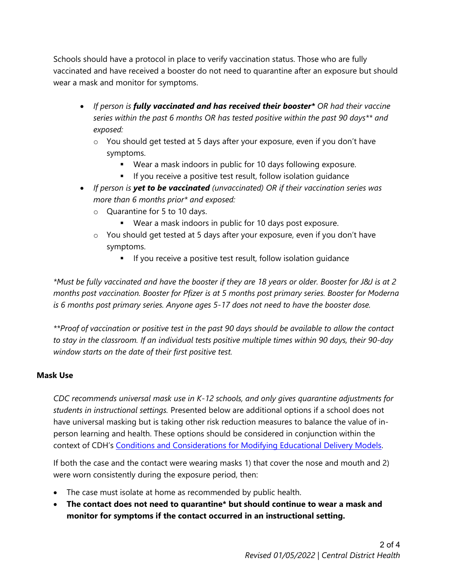Schools should have a protocol in place to verify vaccination status. Those who are fully vaccinated and have received a booster do not need to quarantine after an exposure but should wear a mask and monitor for symptoms.

- *If person is fully vaccinated and has received their booster\* OR had their vaccine series within the past 6 months OR has tested positive within the past 90 days\*\* and exposed:*
	- o You should get tested at 5 days after your exposure, even if you don't have symptoms.
		- Wear a mask indoors in public for 10 days following exposure.
		- If you receive a positive test result, follow isolation guidance
- *If person is yet to be vaccinated (unvaccinated) OR if their vaccination series was more than 6 months prior\* and exposed:* 
	- o Quarantine for 5 to 10 days.
		- Wear a mask indoors in public for 10 days post exposure.
	- o You should get tested at 5 days after your exposure, even if you don't have symptoms.
		- If you receive a positive test result, follow isolation guidance

*\*Must be fully vaccinated and have the booster if they are 18 years or older. Booster for J&J is at 2 months post vaccination. Booster for Pfizer is at 5 months post primary series. Booster for Moderna is 6 months post primary series. Anyone ages 5-17 does not need to have the booster dose.*

*\*\*Proof of vaccination or positive test in the past 90 days should be available to allow the contact to stay in the classroom. If an individual tests positive multiple times within 90 days, their 90-day window starts on the date of their first positive test.*

## **Mask Use**

*CDC recommends universal mask use in K-12 schools, and only gives quarantine adjustments for students in instructional settings.* Presented below are additional options if a school does not have universal masking but is taking other risk reduction measures to balance the value of inperson learning and health. These options should be considered in conjunction within the context of CDH's [Conditions and Considerations for Modifying Educational Delivery Models.](https://cdh.idaho.gov/pdfs/cd/Coronavirus/Resource%20Docs/schools/School-Model-of-Delivery-Revised_12-2021.pdf)

If both the case and the contact were wearing masks 1) that cover the nose and mouth and 2) were worn consistently during the exposure period, then:

- The case must isolate at home as recommended by public health.
- **The contact does not need to quarantine\* but should continue to wear a mask and monitor for symptoms if the contact occurred in an instructional setting.**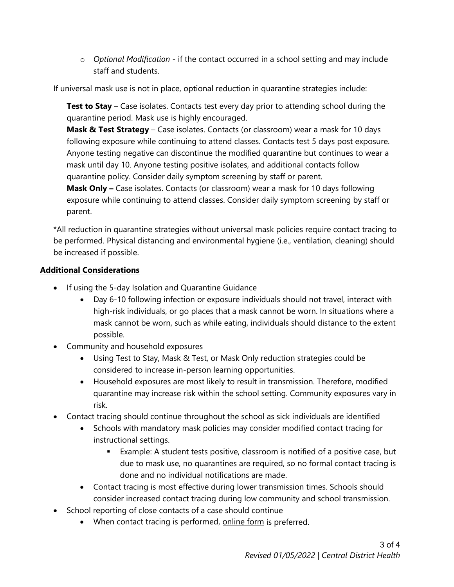o *Optional Modification* - if the contact occurred in a school setting and may include staff and students.

If universal mask use is not in place, optional reduction in quarantine strategies include:

**Test to Stay** – Case isolates. Contacts test every day prior to attending school during the quarantine period. Mask use is highly encouraged.

**Mask & Test Strategy** – Case isolates. Contacts (or classroom) wear a mask for 10 days following exposure while continuing to attend classes. Contacts test 5 days post exposure. Anyone testing negative can discontinue the modified quarantine but continues to wear a mask until day 10. Anyone testing positive isolates, and additional contacts follow quarantine policy. Consider daily symptom screening by staff or parent.

**Mask Only –** Case isolates. Contacts (or classroom) wear a mask for 10 days following exposure while continuing to attend classes. Consider daily symptom screening by staff or parent.

\*All reduction in quarantine strategies without universal mask policies require contact tracing to be performed. Physical distancing and environmental hygiene (i.e., ventilation, cleaning) should be increased if possible.

## **Additional Considerations**

- If using the 5-day Isolation and Quarantine Guidance
	- Day 6-10 following infection or exposure individuals should not travel, interact with high-risk individuals, or go places that a mask cannot be worn. In situations where a mask cannot be worn, such as while eating, individuals should distance to the extent possible.
- Community and household exposures
	- Using Test to Stay, Mask & Test, or Mask Only reduction strategies could be considered to increase in-person learning opportunities.
	- Household exposures are most likely to result in transmission. Therefore, modified quarantine may increase risk within the school setting. Community exposures vary in risk.
- Contact tracing should continue throughout the school as sick individuals are identified
	- Schools with mandatory mask policies may consider modified contact tracing for instructional settings.
		- Example: A student tests positive, classroom is notified of a positive case, but due to mask use, no quarantines are required, so no formal contact tracing is done and no individual notifications are made.
	- Contact tracing is most effective during lower transmission times. Schools should consider increased contact tracing during low community and school transmission.
- School reporting of close contacts of a case should continue
	- When contact tracing is performed, [online form](https://na3.documents.adobe.com/public/esignWidget?wid=CBFCIBAA3AAABLblqZhDVBmTNoFEG7Opb0XTC6xkdFwrC-asKq9gBQqP3N1i7EPniMGUWs7wOa8Q_ajBguf0*) is preferred.